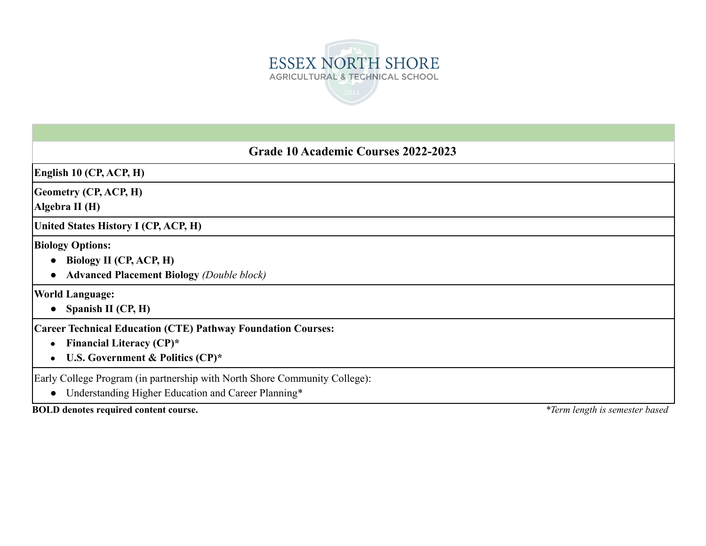

# **Grade 10 Academic Courses 2022-2023**

**English 10 (CP, ACP, H)**

**Geometry (CP, ACP, H)**

**Algebra II (H)**

**United States History I (CP, ACP, H)**

**Biology Options:**

- **● Biology II (CP, ACP, H)**
- **● Advanced Placement Biology** *(Double block)*

**World Language:**

**● Spanish II (CP, H)**

**Career Technical Education (CTE) Pathway Foundation Courses:**

- **● Financial Literacy (CP)\***
- **● U.S. Government & Politics (CP)\***

Early College Program (in partnership with North Shore Community College):

● Understanding Higher Education and Career Planning\*

**BOLD denotes required content course.** *\*Term length is semester based*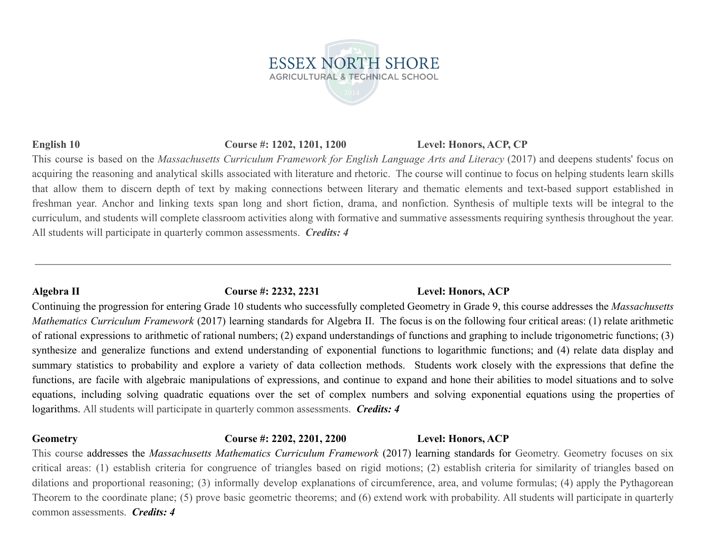### **English 10 Course #: 1202, 1201, 1200 Level: Honors, ACP, CP**

This course is based on the *Massachusetts Curriculum Framework for English Language Arts and Literacy* (2017) and deepens students' focus on acquiring the reasoning and analytical skills associated with literature and rhetoric. The course will continue to focus on helping students learn skills that allow them to discern depth of text by making connections between literary and thematic elements and text-based support established in freshman year. Anchor and linking texts span long and short fiction, drama, and nonfiction. Synthesis of multiple texts will be integral to the curriculum, and students will complete classroom activities along with formative and summative assessments requiring synthesis throughout the year. All students will participate in quarterly common assessments. *Credits: 4*

**ESSEX NORTH SHORE AGRICULTURAL & TECHNICAL SCHOOL** 

# **Algebra II Course #: 2232, 2231 Level: Honors, ACP**

Continuing the progression for entering Grade 10 students who successfully completed Geometry in Grade 9, this course addresses the *Massachusetts Mathematics Curriculum Framework* (2017) learning standards for Algebra II. The focus is on the following four critical areas: (1) relate arithmetic of rational expressions to arithmetic of rational numbers; (2) expand understandings of functions and graphing to include trigonometric functions; (3) synthesize and generalize functions and extend understanding of exponential functions to logarithmic functions; and (4) relate data display and summary statistics to probability and explore a variety of data collection methods. Students work closely with the expressions that define the functions, are facile with algebraic manipulations of expressions, and continue to expand and hone their abilities to model situations and to solve equations, including solving quadratic equations over the set of complex numbers and solving exponential equations using the properties of logarithms. All students will participate in quarterly common assessments. *Credits: 4*

## **Geometry Course #: 2202, 2201, 2200 Level: Honors, ACP**

This course addresses the *Massachusetts Mathematics Curriculum Framework* (2017) learning standards for Geometry. Geometry focuses on six critical areas: (1) establish criteria for congruence of triangles based on rigid motions; (2) establish criteria for similarity of triangles based on dilations and proportional reasoning; (3) informally develop explanations of circumference, area, and volume formulas; (4) apply the Pythagorean Theorem to the coordinate plane; (5) prove basic geometric theorems; and (6) extend work with probability. All students will participate in quarterly common assessments. *Credits: 4*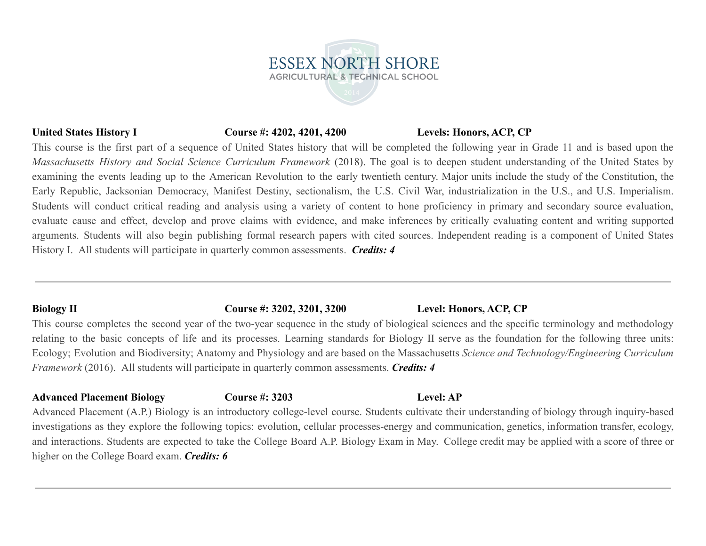# **United States History I Course #: 4202, 4201, 4200 Levels: Honors, ACP, CP**

This course is the first part of a sequence of United States history that will be completed the following year in Grade 11 and is based upon the *Massachusetts History and Social Science Curriculum Framework* (2018). The goal is to deepen student understanding of the United States by examining the events leading up to the American Revolution to the early twentieth century. Major units include the study of the Constitution, the Early Republic, Jacksonian Democracy, Manifest Destiny, sectionalism, the U.S. Civil War, industrialization in the U.S., and U.S. Imperialism. Students will conduct critical reading and analysis using a variety of content to hone proficiency in primary and secondary source evaluation, evaluate cause and effect, develop and prove claims with evidence, and make inferences by critically evaluating content and writing supported arguments. Students will also begin publishing formal research papers with cited sources. Independent reading is a component of United States History I. All students will participate in quarterly common assessments. *Credits: 4*

**ESSEX NORTH SHORE AGRICULTURAL & TECHNICAL SCHOOL** 

### **Biology II Course #: 3202, 3201, 3200 Level: Honors, ACP, CP**

This course completes the second year of the two-year sequence in the study of biological sciences and the specific terminology and methodology relating to the basic concepts of life and its processes. Learning standards for Biology II serve as the foundation for the following three units: Ecology; Evolution and Biodiversity; Anatomy and Physiology and are based on the Massachusetts *Science and Technology/Engineering Curriculum Framework* (2016). All students will participate in quarterly common assessments. *Credits: 4*

# **Advanced Placement Biology Course #: 3203 Level: AP**

Advanced Placement (A.P.) Biology is an introductory college-level course. Students cultivate their understanding of biology through inquiry-based investigations as they explore the following topics: evolution, cellular processes-energy and communication, genetics, information transfer, ecology, and interactions. Students are expected to take the College Board A.P. Biology Exam in May. College credit may be applied with a score of three or higher on the College Board exam. *Credits: 6*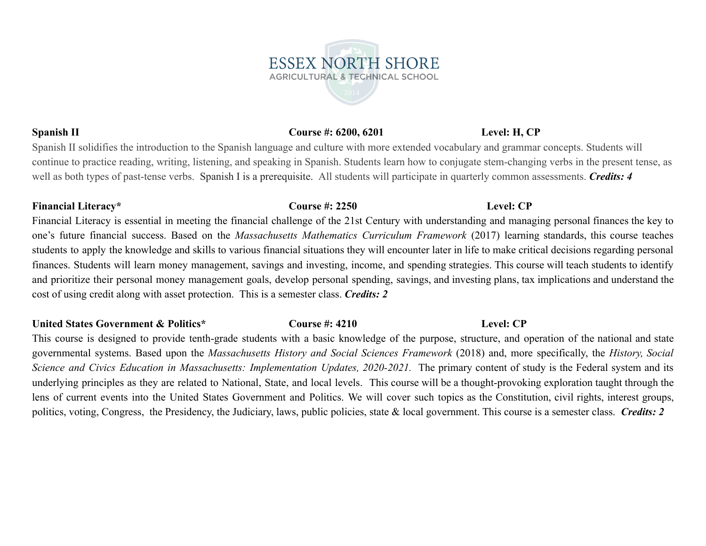# **Spanish II Course #: 6200, 6201 Level: H, CP**

Spanish II solidifies the introduction to the Spanish language and culture with more extended vocabulary and grammar concepts. Students will continue to practice reading, writing, listening, and speaking in Spanish. Students learn how to conjugate stem-changing verbs in the present tense, as well as both types of past-tense verbs. Spanish I is a prerequisite. All students will participate in quarterly common assessments. *Credits: 4*

### **Financial Literacy\* Course #: 2250 Level: CP**

Financial Literacy is essential in meeting the financial challenge of the 21st Century with understanding and managing personal finances the key to one's future financial success. Based on the *Massachusetts Mathematics Curriculum Framework* (2017) learning standards, this course teaches students to apply the knowledge and skills to various financial situations they will encounter later in life to make critical decisions regarding personal finances. Students will learn money management, savings and investing, income, and spending strategies. This course will teach students to identify and prioritize their personal money management goals, develop personal spending, savings, and investing plans, tax implications and understand the cost of using credit along with asset protection. This is a semester class. *Credits: 2*

### **United States Government & Politics\* Course #: 4210 Level: CP**

This course is designed to provide tenth-grade students with a basic knowledge of the purpose, structure, and operation of the national and state governmental systems. Based upon the *Massachusetts History and Social Sciences Framework* (2018) and, more specifically, the *History, Social Science and Civics Education in Massachusetts: Implementation Updates, 2020-2021.* The primary content of study is the Federal system and its underlying principles as they are related to National, State, and local levels. This course will be a thought-provoking exploration taught through the lens of current events into the United States Government and Politics. We will cover such topics as the Constitution, civil rights, interest groups, politics, voting, Congress, the Presidency, the Judiciary, laws, public policies, state & local government. This course is a semester class. *Credits: 2*